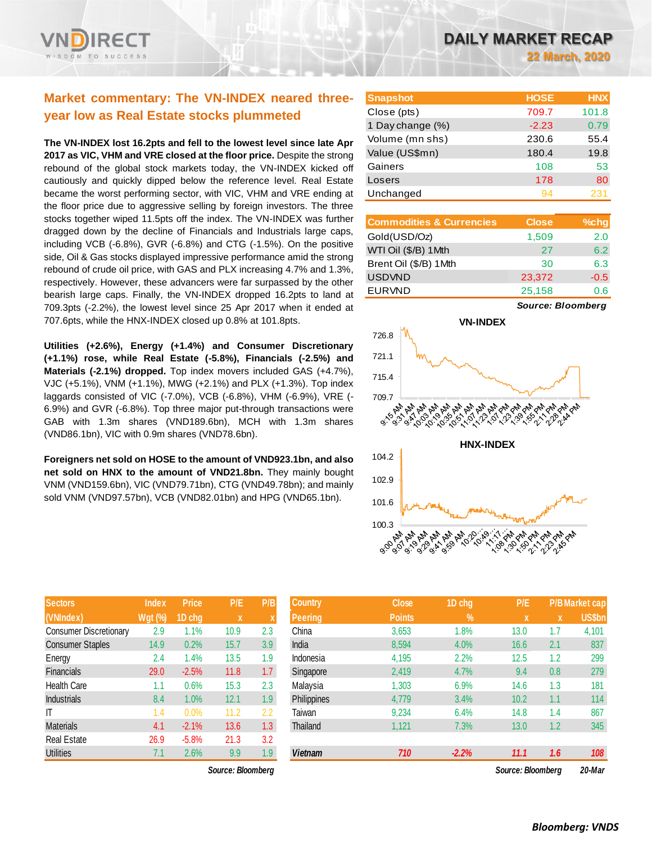# **Market commentary: The VN-INDEX neared threeyear low as Real Estate stocks plummeted**

**The VN-INDEX lost 16.2pts and fell to the lowest level since late Apr 2017 as VIC, VHM and VRE closed at the floor price.** Despite the strong rebound of the global stock markets today, the VN-INDEX kicked off cautiously and quickly dipped below the reference level. Real Estate became the worst performing sector, with VIC, VHM and VRE ending at the floor price due to aggressive selling by foreign investors. The three stocks together wiped 11.5pts off the index. The VN-INDEX was further dragged down by the decline of Financials and Industrials large caps, including VCB (-6.8%), GVR (-6.8%) and CTG (-1.5%). On the positive side, Oil & Gas stocks displayed impressive performance amid the strong rebound of crude oil price, with GAS and PLX increasing 4.7% and 1.3%, respectively. However, these advancers were far surpassed by the other bearish large caps. Finally, the VN-INDEX dropped 16.2pts to land at 709.3pts (-2.2%), the lowest level since 25 Apr 2017 when it ended at 707.6pts, while the HNX-INDEX closed up 0.8% at 101.8pts.

**Utilities (+2.6%), Energy (+1.4%) and Consumer Discretionary (+1.1%) rose, while Real Estate (-5.8%), Financials (-2.5%) and Materials (-2.1%) dropped.** Top index movers included GAS (+4.7%), VJC (+5.1%), VNM (+1.1%), MWG (+2.1%) and PLX (+1.3%). Top index laggards consisted of VIC (-7.0%), VCB (-6.8%), VHM (-6.9%), VRE (- 6.9%) and GVR (-6.8%). Top three major put-through transactions were GAB with 1.3m shares (VND189.6bn), MCH with 1.3m shares (VND86.1bn), VIC with 0.9m shares (VND78.6bn).

**Foreigners net sold on HOSE to the amount of VND923.1bn, and also net sold on HNX to the amount of VND21.8bn.** They mainly bought VNM (VND159.6bn), VIC (VND79.71bn), CTG (VND49.78bn); and mainly sold VNM (VND97.57bn), VCB (VND82.01bn) and HPG (VND65.1bn).

| <b>Sectors</b>                | <b>Index</b>   | <b>Price</b> | P/E  | P/B |
|-------------------------------|----------------|--------------|------|-----|
| (VNIndex)                     | <b>Wgt (%)</b> | 1D chg       | X    | X   |
| <b>Consumer Discretionary</b> | 2.9            | 1.1%         | 10.9 | 2.3 |
| <b>Consumer Staples</b>       | 14.9           | 0.2%         | 15.7 | 3.9 |
| Energy                        | 2.4            | 1.4%         | 13.5 | 1.9 |
| Financials                    | 29.0           | $-2.5%$      | 11.8 | 1.7 |
| <b>Health Care</b>            | 1.1            | 0.6%         | 15.3 | 2.3 |
| <b>Industrials</b>            | 8.4            | 1.0%         | 12.1 | 1.9 |
| IT                            | 1.4            | 0.0%         | 11.2 | 2.2 |
| <b>Materials</b>              | 4.1            | $-2.1%$      | 13.6 | 1.3 |
| <b>Real Estate</b>            | 26.9           | $-5.8%$      | 21.3 | 3.2 |
| <b>Utilities</b>              | 7.1            | 2.6%         | 9.9  | 1.9 |

*Source: Bloomberg Source: Bloomberg 20-Mar*

**22 March, 2020**

| <b>Snapshot</b>  | <b>HOSE</b> | <b>HNX</b> |
|------------------|-------------|------------|
| Close (pts)      | 709.7       | 101.8      |
| 1 Day change (%) | $-2.23$     | 0.79       |
| Volume (mn shs)  | 230.6       | 55.4       |
| Value (US\$mn)   | 180.4       | 19.8       |
| Gainers          | 108         | 53         |
| Losers           | 178         | 80         |
| Unchanged        | 94          | 231        |

| <b>Commodities &amp; Currencies</b> | <b>Close</b> | %chg   |
|-------------------------------------|--------------|--------|
| Gold(USD/Oz)                        | 1,509        | 2.0    |
| WTI Oil (\$/B) 1 Mth                | 27           | 6.2    |
| Brent Oil (\$/B) 1Mth               | 30           | 6.3    |
| <b>USDVND</b>                       | 23,372       | $-0.5$ |
| <b>EURVND</b>                       | 25,158       | 0.6    |

*Source: Bloomberg*



| <b>Sectors</b>                | <b>Index</b>   | <b>Price</b> | P/E               | P/B | <b>Country</b>     | <b>Close</b>  | 1D chg        | P/E               |     | <b>P/BMarket cap</b> |
|-------------------------------|----------------|--------------|-------------------|-----|--------------------|---------------|---------------|-------------------|-----|----------------------|
| (VNIndex)                     | <b>Wgt (%)</b> | 1D chg       | $\mathbf x$       |     | Peering            | <b>Points</b> | $\frac{9}{6}$ | ιXί               | x   | <b>US\$bn</b>        |
| <b>Consumer Discretionary</b> | 2.9            | 1%           | 10.9              | 2.3 | China              | 3,653         | 1.8%          | 13.0              | 1.7 | 4,101                |
| <b>Consumer Staples</b>       | 14.9           | 0.2%         | 15.7              | 3.9 | India              | 8,594         | 4.0%          | 16.6              | 2.1 | 837                  |
| Energy                        | 2.4            | 1.4%         | 13.5              | 1.9 | Indonesia          | 4,195         | 2.2%          | 12.5              | 1.2 | 299                  |
| Financials                    | 29.0           | $-2.5%$      | 11.8              | 1.7 | Singapore          | 2,419         | 4.7%          | 9.4               | 0.8 | 279                  |
| <b>Health Care</b>            | 1.1            | 0.6%         | 15.3              | 2.3 | Malavsia           | 1,303         | 6.9%          | 14.6              | 1.3 | 181                  |
| <b>Industrials</b>            | 8.4            | 1.0%         | 12.1              | 1.9 | <b>Philippines</b> | 4,779         | 3.4%          | 10.2              | 1.1 | 114                  |
| ΙT                            | 1.4            | 0.0%         | 11.2              | 2.2 | Taiwan             | 9,234         | 6.4%          | 14.8              | 1.4 | 867                  |
| <b>Materials</b>              | 4.1            | $-2.1%$      | 13.6              | 1.3 | Thailand           | 1,121         | 7.3%          | 13.0              | 1.2 | 345                  |
| Real Estate                   | 26.9           | $-5.8%$      | 21.3              | 3.2 |                    |               |               |                   |     |                      |
| <b>Utilities</b>              | 7.1            | 2.6%         | 9.9               | 1.9 | <b>Vietnam</b>     | 710           | $-2.2%$       | 11.1              | 1.6 | 108                  |
|                               |                |              | Source: Bloomberg |     |                    |               |               | Source: Bloomberg |     | 20-Mar               |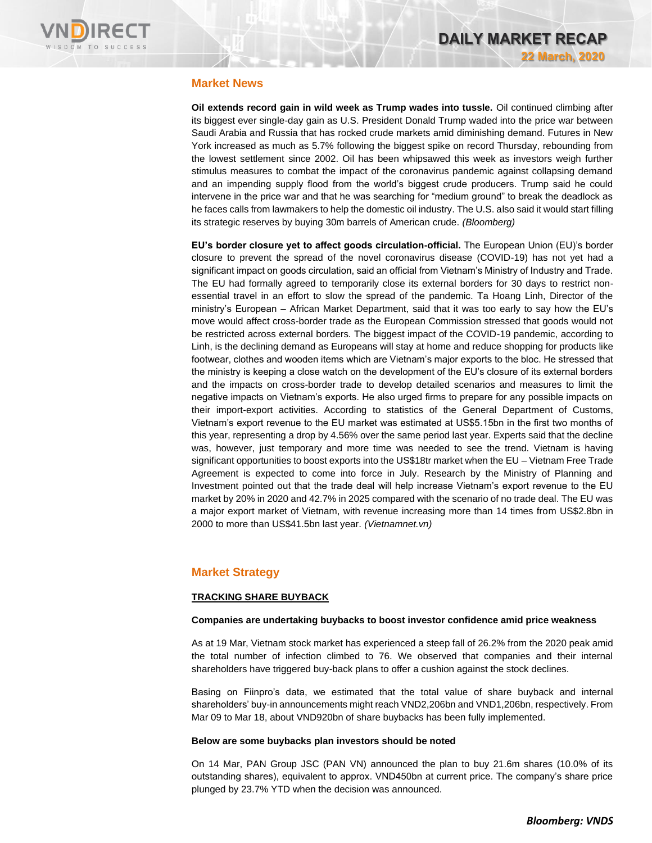

# **Market News**

**Oil extends record gain in wild week as Trump wades into tussle.** Oil continued climbing after its biggest ever single-day gain as U.S. President Donald Trump waded into the price war between Saudi Arabia and Russia that has rocked crude markets amid diminishing demand. Futures in New York increased as much as 5.7% following the biggest spike on record Thursday, rebounding from the lowest settlement since 2002. Oil has been whipsawed this week as investors weigh further stimulus measures to combat the impact of the coronavirus pandemic against collapsing demand and an impending supply flood from the world's biggest crude producers. Trump said he could intervene in the price war and that he was searching for "medium ground" to break the deadlock as he faces calls from lawmakers to help the domestic oil industry. The U.S. also said it would start filling its strategic reserves by buying 30m barrels of American crude. *(Bloomberg)*

**EU's border closure yet to affect goods circulation-official.** The European Union (EU)'s border closure to prevent the spread of the novel coronavirus disease (COVID-19) has not yet had a significant impact on goods circulation, said an official from Vietnam's Ministry of Industry and Trade. The EU had formally agreed to temporarily close its external borders for 30 days to restrict nonessential travel in an effort to slow the spread of the pandemic. Ta Hoang Linh, Director of the ministry's European – African Market Department, said that it was too early to say how the EU's move would affect cross-border trade as the European Commission stressed that goods would not be restricted across external borders. The biggest impact of the COVID-19 pandemic, according to Linh, is the declining demand as Europeans will stay at home and reduce shopping for products like footwear, clothes and wooden items which are Vietnam's major exports to the bloc. He stressed that the ministry is keeping a close watch on the development of the EU's closure of its external borders and the impacts on cross-border trade to develop detailed scenarios and measures to limit the negative impacts on Vietnam's exports. He also urged firms to prepare for any possible impacts on their import-export activities. According to statistics of the General Department of Customs, Vietnam's export revenue to the EU market was estimated at US\$5.15bn in the first two months of this year, representing a drop by 4.56% over the same period last year. Experts said that the decline was, however, just temporary and more time was needed to see the trend. Vietnam is having significant opportunities to boost exports into the US\$18tr market when the EU – Vietnam Free Trade Agreement is expected to come into force in July. Research by the Ministry of Planning and Investment pointed out that the trade deal will help increase Vietnam's export revenue to the EU market by 20% in 2020 and 42.7% in 2025 compared with the scenario of no trade deal. The EU was a major export market of Vietnam, with revenue increasing more than 14 times from US\$2.8bn in 2000 to more than US\$41.5bn last year. *(Vietnamnet.vn)*

## **Market Strategy**

### **TRACKING SHARE BUYBACK**

### **Companies are undertaking buybacks to boost investor confidence amid price weakness**

As at 19 Mar, Vietnam stock market has experienced a steep fall of 26.2% from the 2020 peak amid the total number of infection climbed to 76. We observed that companies and their internal shareholders have triggered buy-back plans to offer a cushion against the stock declines.

Basing on Fiinpro's data, we estimated that the total value of share buyback and internal shareholders' buy-in announcements might reach VND2,206bn and VND1,206bn, respectively. From Mar 09 to Mar 18, about VND920bn of share buybacks has been fully implemented.

### **Below are some buybacks plan investors should be noted**

On 14 Mar, PAN Group JSC (PAN VN) announced the plan to buy 21.6m shares (10.0% of its outstanding shares), equivalent to approx. VND450bn at current price. The company's share price plunged by 23.7% YTD when the decision was announced.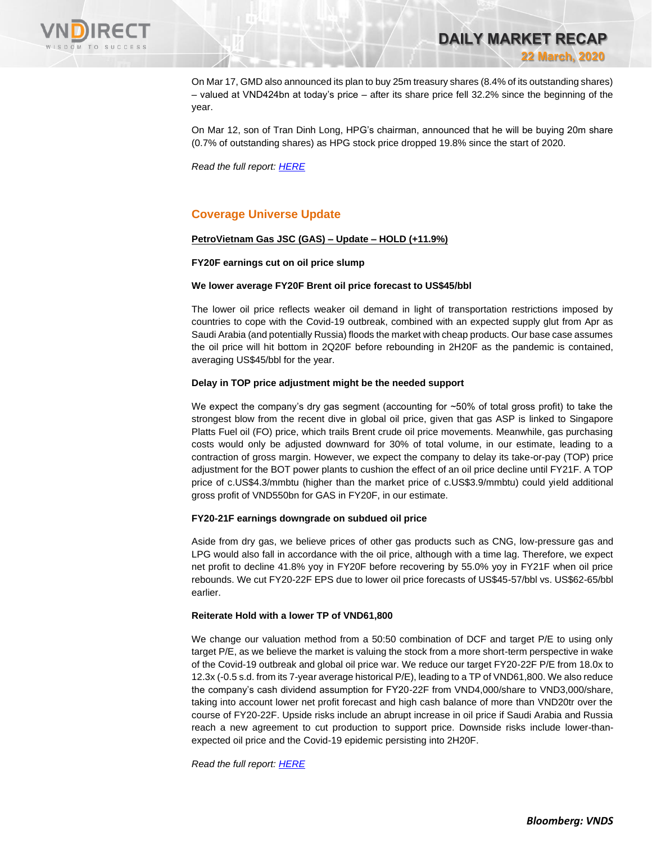

**DAILY MARKET RECAP 22 March, 2020**

On Mar 17, GMD also announced its plan to buy 25m treasury shares (8.4% of its outstanding shares) – valued at VND424bn at today's price – after its share price fell 32.2% since the beginning of the year.

On Mar 12, son of Tran Dinh Long, HPG's chairman, announced that he will be buying 20m share (0.7% of outstanding shares) as HPG stock price dropped 19.8% since the start of 2020.

*Read the full report: [HERE](https://nhanha-public-api.vndirect.com.vn/click/OGE0ODlmZDA2ODYwMjZlMjAxNjg5OGJiOGM4YjMxODQ=/ZjBhMmM4YzJlYjE2NGY0Y2E3NDc3NTkxZWQ0ZGQ4NjY=/f0a2c8c2eb164f4ca7477591ed4dd866-Marketstrategy_Sharebuyback_20200320.pdf/cmVzZWFyY2hAdm5kaXJlY3QuY29tLnZu/MTYyODg=)*

# **Coverage Universe Update**

### **PetroVietnam Gas JSC (GAS) – Update – HOLD (+11.9%)**

### **FY20F earnings cut on oil price slump**

### **We lower average FY20F Brent oil price forecast to US\$45/bbl**

The lower oil price reflects weaker oil demand in light of transportation restrictions imposed by countries to cope with the Covid-19 outbreak, combined with an expected supply glut from Apr as Saudi Arabia (and potentially Russia) floods the market with cheap products. Our base case assumes the oil price will hit bottom in 2Q20F before rebounding in 2H20F as the pandemic is contained, averaging US\$45/bbl for the year.

### **Delay in TOP price adjustment might be the needed support**

We expect the company's dry gas segment (accounting for ~50% of total gross profit) to take the strongest blow from the recent dive in global oil price, given that gas ASP is linked to Singapore Platts Fuel oil (FO) price, which trails Brent crude oil price movements. Meanwhile, gas purchasing costs would only be adjusted downward for 30% of total volume, in our estimate, leading to a contraction of gross margin. However, we expect the company to delay its take-or-pay (TOP) price adjustment for the BOT power plants to cushion the effect of an oil price decline until FY21F. A TOP price of c.US\$4.3/mmbtu (higher than the market price of c.US\$3.9/mmbtu) could yield additional gross profit of VND550bn for GAS in FY20F, in our estimate.

### **FY20-21F earnings downgrade on subdued oil price**

Aside from dry gas, we believe prices of other gas products such as CNG, low-pressure gas and LPG would also fall in accordance with the oil price, although with a time lag. Therefore, we expect net profit to decline 41.8% yoy in FY20F before recovering by 55.0% yoy in FY21F when oil price rebounds. We cut FY20-22F EPS due to lower oil price forecasts of US\$45-57/bbl vs. US\$62-65/bbl earlier.

#### **Reiterate Hold with a lower TP of VND61,800**

We change our valuation method from a 50:50 combination of DCF and target P/E to using only target P/E, as we believe the market is valuing the stock from a more short-term perspective in wake of the Covid-19 outbreak and global oil price war. We reduce our target FY20-22F P/E from 18.0x to 12.3x (-0.5 s.d. from its 7-year average historical P/E), leading to a TP of VND61,800. We also reduce the company's cash dividend assumption for FY20-22F from VND4,000/share to VND3,000/share, taking into account lower net profit forecast and high cash balance of more than VND20tr over the course of FY20-22F. Upside risks include an abrupt increase in oil price if Saudi Arabia and Russia reach a new agreement to cut production to support price. Downside risks include lower-thanexpected oil price and the Covid-19 epidemic persisting into 2H20F.

*Read the full report: [HERE](https://nhanha-public-api.vndirect.com.vn/click/OGE0ODlmZDA3MDVhYmY5ZTAxNzA1Y2ZkYmY4YjAwMDM=/Mjg1OGM2MmE3YTFhNGU1Zjk3N2U3ZjgwNWZlNTU1ZDA=/2858c62a7a1a4e5f977e7f805fe555d0-GAS_Update_20200319.pdf/cmVzZWFyY2hAdm5kaXJlY3QuY29tLnZu/MTYyOTE=)*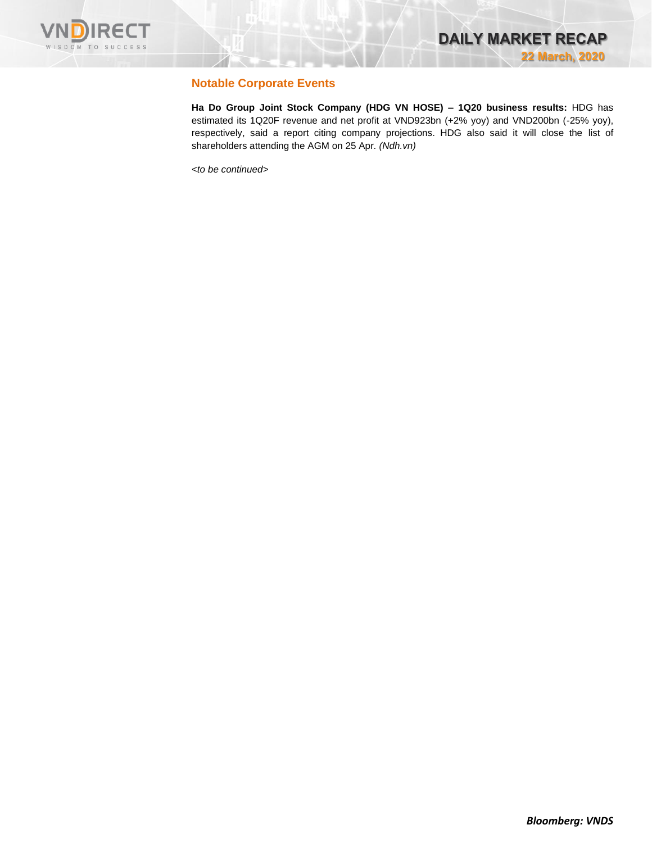

# **Notable Corporate Events**

**Ha Do Group Joint Stock Company (HDG VN HOSE) – 1Q20 business results:** HDG has estimated its 1Q20F revenue and net profit at VND923bn (+2% yoy) and VND200bn (-25% yoy), respectively, said a report citing company projections. HDG also said it will close the list of shareholders attending the AGM on 25 Apr. *(Ndh.vn)*

*<to be continued>*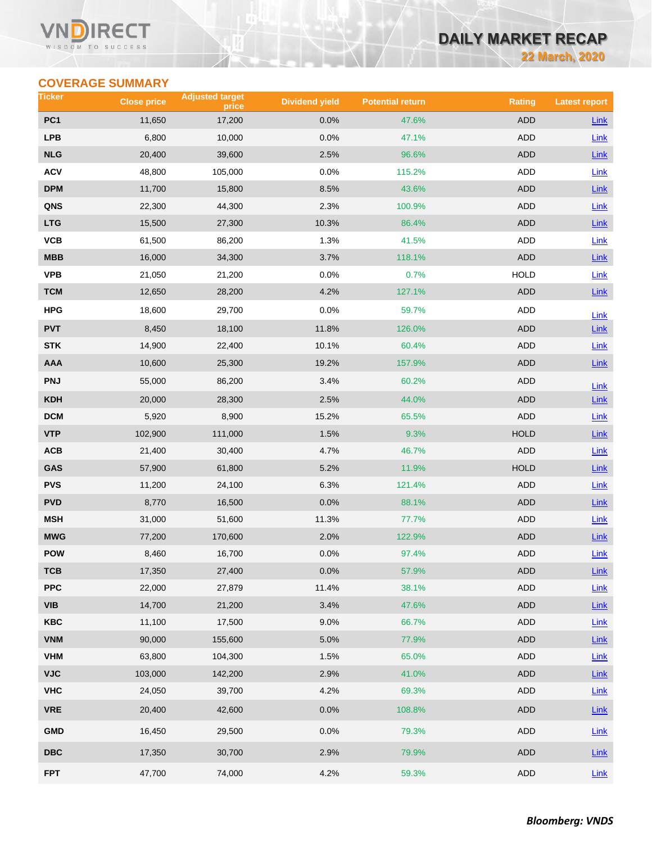### **VN** RECT WISDOM TO SUCCESS

# **DAILY MARKET RECAP**

**22 March, 2020**

# **COVERAGE SUMMARY**

| Ticker                  | <b>Close price</b> | <b>Adjusted target</b><br>price | <b>Dividend yield</b> | <b>Potential return</b> | <b>Rating</b> | <b>Latest report</b> |
|-------------------------|--------------------|---------------------------------|-----------------------|-------------------------|---------------|----------------------|
| PC <sub>1</sub>         | 11,650             | 17,200                          | 0.0%                  | 47.6%                   | <b>ADD</b>    | <b>Link</b>          |
| <b>LPB</b>              | 6,800              | 10,000                          | 0.0%                  | 47.1%                   | <b>ADD</b>    | Link                 |
| <b>NLG</b>              | 20,400             | 39,600                          | 2.5%                  | 96.6%                   | <b>ADD</b>    | Link                 |
| <b>ACV</b>              | 48,800             | 105,000                         | 0.0%                  | 115.2%                  | ADD           | <b>Link</b>          |
| <b>DPM</b>              | 11,700             | 15,800                          | 8.5%                  | 43.6%                   | <b>ADD</b>    | Link                 |
| QNS                     | 22,300             | 44,300                          | 2.3%                  | 100.9%                  | ADD           | Link                 |
| <b>LTG</b>              | 15,500             | 27,300                          | 10.3%                 | 86.4%                   | <b>ADD</b>    | $Link$               |
| VCB                     | 61,500             | 86,200                          | 1.3%                  | 41.5%                   | ADD           | Link                 |
| <b>MBB</b>              | 16,000             | 34,300                          | 3.7%                  | 118.1%                  | <b>ADD</b>    | Link                 |
| <b>VPB</b>              | 21,050             | 21,200                          | 0.0%                  | 0.7%                    | <b>HOLD</b>   | Link                 |
| <b>TCM</b>              | 12,650             | 28,200                          | 4.2%                  | 127.1%                  | ADD           | Link                 |
| <b>HPG</b>              | 18,600             | 29,700                          | 0.0%                  | 59.7%                   | ADD           | Link                 |
| <b>PVT</b>              | 8,450              | 18,100                          | 11.8%                 | 126.0%                  | <b>ADD</b>    | Link                 |
| <b>STK</b>              | 14,900             | 22,400                          | 10.1%                 | 60.4%                   | <b>ADD</b>    | Link                 |
| <b>AAA</b>              | 10,600             | 25,300                          | 19.2%                 | 157.9%                  | <b>ADD</b>    | Link                 |
| <b>PNJ</b>              | 55,000             | 86,200                          | 3.4%                  | 60.2%                   | ADD           | Link                 |
| <b>KDH</b>              | 20,000             | 28,300                          | 2.5%                  | 44.0%                   | <b>ADD</b>    | Link                 |
| <b>DCM</b>              | 5,920              | 8,900                           | 15.2%                 | 65.5%                   | <b>ADD</b>    | Link                 |
| <b>VTP</b>              | 102,900            | 111,000                         | 1.5%                  | 9.3%                    | <b>HOLD</b>   | Link                 |
| ACB                     | 21,400             | 30,400                          | 4.7%                  | 46.7%                   | <b>ADD</b>    | Link                 |
| GAS                     | 57,900             | 61,800                          | 5.2%                  | 11.9%                   | <b>HOLD</b>   | Link                 |
| <b>PVS</b>              | 11,200             | 24,100                          | 6.3%                  | 121.4%                  | <b>ADD</b>    | Link                 |
| <b>PVD</b>              | 8,770              | 16,500                          | 0.0%                  | 88.1%                   | <b>ADD</b>    | $Link$               |
| <b>MSH</b>              | 31,000             | 51,600                          | 11.3%                 | 77.7%                   | ADD           | Link                 |
| <b>MWG</b>              | 77,200             | 170,600                         | 2.0%                  | 122.9%                  | <b>ADD</b>    | Link                 |
| <b>POW</b>              | 8,460              | 16,700                          | 0.0%                  | 97.4%                   | ADD           | Link                 |
| тсв                     | 17,350             | 27,400                          | 0.0%                  | 57.9%                   | ADD           | $Link$               |
| <b>PPC</b>              | 22,000             | 27,879                          | 11.4%                 | 38.1%                   | <b>ADD</b>    | Link                 |
| <b>VIB</b>              | 14,700             | 21,200                          | 3.4%                  | 47.6%                   | ADD           | $Link$               |
| <b>KBC</b>              | 11,100             | 17,500                          | 9.0%                  | 66.7%                   | ADD           | Link                 |
| <b>VNM</b>              | 90,000             | 155,600                         | 5.0%                  | 77.9%                   | <b>ADD</b>    | Link                 |
| <b>VHM</b>              | 63,800             | 104,300                         | 1.5%                  | 65.0%                   | <b>ADD</b>    | Link                 |
| <b>VJC</b>              | 103,000            | 142,200                         | 2.9%                  | 41.0%                   | ADD           | Link                 |
| <b>VHC</b>              | 24,050             | 39,700                          | 4.2%                  | 69.3%                   | ADD           | Link                 |
| <b>VRE</b>              | 20,400             | 42,600                          | 0.0%                  | 108.8%                  | ADD           | $Link$               |
| <b>GMD</b>              | 16,450             | 29,500                          | 0.0%                  | 79.3%                   | ADD           | Link                 |
| $\overline{\text{DBC}}$ | 17,350             | 30,700                          | 2.9%                  | 79.9%                   | ADD           | $Link$               |
| <b>FPT</b>              | 47,700             | 74,000                          | 4.2%                  | 59.3%                   | ADD           | Link                 |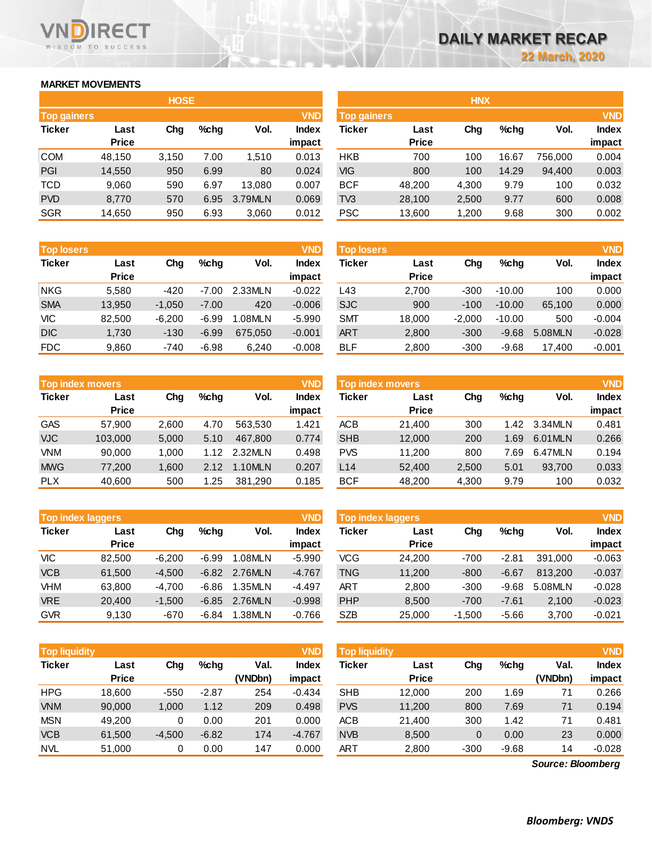# **MARKET MOVEMENTS**

WISDOM TO SUCCESS

RECT

VN n

|                    | <b>HOSE</b>  |       |      |         |              |  |  |  |  |  |  |  |  |
|--------------------|--------------|-------|------|---------|--------------|--|--|--|--|--|--|--|--|
| <b>Top gainers</b> |              |       |      |         | <b>VND</b>   |  |  |  |  |  |  |  |  |
| <b>Ticker</b>      | Last         | Cha   | %chq | Vol.    | <b>Index</b> |  |  |  |  |  |  |  |  |
|                    | <b>Price</b> |       |      |         | impact       |  |  |  |  |  |  |  |  |
| <b>COM</b>         | 48,150       | 3,150 | 7.00 | 1,510   | 0.013        |  |  |  |  |  |  |  |  |
| PGI                | 14,550       | 950   | 6.99 | 80      | 0.024        |  |  |  |  |  |  |  |  |
| <b>TCD</b>         | 9,060        | 590   | 6.97 | 13,080  | 0.007        |  |  |  |  |  |  |  |  |
| <b>PVD</b>         | 8,770        | 570   | 6.95 | 3.79MLN | 0.069        |  |  |  |  |  |  |  |  |
| <b>SGR</b>         | 14,650       | 950   | 6.93 | 3,060   | 0.012        |  |  |  |  |  |  |  |  |

| <b>Top losers</b> |              |          |         |         | <b>VND</b>   |
|-------------------|--------------|----------|---------|---------|--------------|
| <b>Ticker</b>     | Last         | Cha      | %chq    | Vol.    | <b>Index</b> |
|                   | <b>Price</b> |          |         |         | impact       |
| <b>NKG</b>        | 5,580        | $-420$   | $-7.00$ | 2.33MLN | $-0.022$     |
| <b>SMA</b>        | 13,950       | $-1,050$ | $-7.00$ | 420     | $-0.006$     |
| VIC               | 82,500       | $-6,200$ | $-6.99$ | 1.08MLN | $-5.990$     |
| <b>DIC</b>        | 1,730        | $-130$   | $-6.99$ | 675,050 | $-0.001$     |
| FDC               | 9,860        | $-740$   | $-6.98$ | 6,240   | $-0.008$     |

|               | <b>Top index movers</b> |       |      |         | <b>VND</b>   |
|---------------|-------------------------|-------|------|---------|--------------|
| <b>Ticker</b> | Last                    | Cha   |      | Vol.    | <b>Index</b> |
|               | <b>Price</b>            |       |      |         | impact       |
| <b>GAS</b>    | 57,900                  | 2,600 | 4.70 | 563,530 | 1.421        |
| <b>VJC</b>    | 103,000                 | 5,000 | 5.10 | 467,800 | 0.774        |
| <b>VNM</b>    | 90,000                  | 1,000 | 1.12 | 2.32MLN | 0.498        |
| <b>MWG</b>    | 77,200                  | 1,600 | 2.12 | 1.10MLN | 0.207        |
| <b>PLX</b>    | 40,600                  | 500   | 1.25 | 381,290 | 0.185        |

| <b>Top index laggers</b> |              |          |         |         | <b>VND</b>   |
|--------------------------|--------------|----------|---------|---------|--------------|
| <b>Ticker</b>            | Last         | Cha      | %chq    | Vol.    | <b>Index</b> |
|                          | <b>Price</b> |          |         |         | impact       |
| VIC                      | 82.500       | $-6,200$ | -6.99   | 1.08MLN | $-5.990$     |
| <b>VCB</b>               | 61,500       | $-4,500$ | $-6.82$ | 2.76MLN | $-4.767$     |
| <b>VHM</b>               | 63.800       | $-4,700$ | $-6.86$ | 1.35MLN | $-4.497$     |
| <b>VRE</b>               | 20,400       | $-1,500$ | $-6.85$ | 2.76MLN | $-0.998$     |
| <b>GVR</b>               | 9.130        | $-670$   | $-6.84$ | 1.38MLN | $-0.766$     |

| <b>Top liquidity</b> |                      |          |         |                 | <b>VND</b>             | <b>Top liquidity</b> |                      |        |         |                 |                 |  |
|----------------------|----------------------|----------|---------|-----------------|------------------------|----------------------|----------------------|--------|---------|-----------------|-----------------|--|
| <b>Ticker</b>        | Last<br><b>Price</b> | Chg      | $%$ chq | Val.<br>(VNDbn) | <b>Index</b><br>impact | Ticker               | Last<br><b>Price</b> | Chg    | %chq    | Val.<br>(VNDbn) | Index<br>impact |  |
| <b>HPG</b>           | 18.600               | $-550$   | $-2.87$ | 254             | $-0.434$               | <b>SHB</b>           | 12,000               | 200    | 1.69    | 71              | 0.266           |  |
| <b>VNM</b>           | 90,000               | 1,000    | 1.12    | 209             | 0.498                  | <b>PVS</b>           | 11,200               | 800    | 7.69    | 71              | 0.194           |  |
| <b>MSN</b>           | 49.200               | 0        | 0.00    | 201             | 0.000                  | <b>ACB</b>           | 21,400               | 300    | 1.42    | 71              | 0.481           |  |
| <b>VCB</b>           | 61,500               | $-4,500$ | $-6.82$ | 174             | $-4.767$               | <b>NVB</b>           | 8,500                | 0      | 0.00    | 23              | 0.000           |  |
| <b>NVL</b>           | 51.000               | 0        | 0.00    | 147             | 0.000                  | ART                  | 2,800                | $-300$ | $-9.68$ | 14              | $-0.028$        |  |

|                    |              | <b>HOSE</b> |         |         |              | <b>HNX</b> |                    |       |         |         |        |  |
|--------------------|--------------|-------------|---------|---------|--------------|------------|--------------------|-------|---------|---------|--------|--|
| <b>Top gainers</b> |              |             |         |         | <b>VND</b>   |            | <b>Top gainers</b> |       |         |         |        |  |
| Ticker             | Last         | Chg         | $%$ chg | Vol.    | <b>Index</b> | Ticker     | Last               | Chg   | $%$ chg | Vol.    | Index  |  |
|                    | <b>Price</b> |             |         |         | impact       |            | <b>Price</b>       |       |         |         | impact |  |
| COM                | 48,150       | 3,150       | 7.00    | 1,510   | 0.013        | <b>HKB</b> | 700                | 100   | 16.67   | 756.000 | 0.004  |  |
| PGI                | 14,550       | 950         | 6.99    | 80      | 0.024        | VIG        | 800                | 100   | 14.29   | 94,400  | 0.003  |  |
| TCD                | 9,060        | 590         | 6.97    | 13.080  | 0.007        | <b>BCF</b> | 48,200             | 4,300 | 9.79    | 100     | 0.032  |  |
| <b>PVD</b>         | 8,770        | 570         | 6.95    | 3.79MLN | 0.069        | TV3        | 28,100             | 2,500 | 9.77    | 600     | 0.008  |  |
| <b>SGR</b>         | 14,650       | 950         | 6.93    | 3,060   | 0.012        | <b>PSC</b> | 13,600             | 1,200 | 9.68    | 300     | 0.002  |  |
|                    |              |             |         |         |              |            |                    |       |         |         |        |  |

| <b>VND</b><br><b>Top losers</b> |              |          |         |         |              | <b>Top losers</b> |              |          |          |         | <b>VND</b>   |
|---------------------------------|--------------|----------|---------|---------|--------------|-------------------|--------------|----------|----------|---------|--------------|
| Ticker                          | Last         | Chg      | $%$ chq | Vol.    | <b>Index</b> | Ticker            | Last         | Chg      | $%$ chg  | Vol.    | <b>Index</b> |
|                                 | <b>Price</b> |          |         |         | impact       |                   | <b>Price</b> |          |          |         | impact       |
| NKG                             | 5.580        | -420     | $-7.00$ | 2.33MLN | $-0.022$     | L43               | 2.700        | $-300$   | $-10.00$ | 100     | 0.000        |
| <b>SMA</b>                      | 13,950       | $-1,050$ | $-7.00$ | 420     | $-0.006$     | <b>SJC</b>        | 900          | $-100$   | $-10.00$ | 65.100  | 0.000        |
| VIC                             | 82.500       | $-6.200$ | -6.99   | 1.08MLN | $-5.990$     | <b>SMT</b>        | 18.000       | $-2.000$ | $-10.00$ | 500     | $-0.004$     |
| <b>DIC</b>                      | 1,730        | $-130$   | $-6.99$ | 675.050 | $-0.001$     | <b>ART</b>        | 2,800        | $-300$   | $-9.68$  | 5.08MLN | $-0.028$     |
| <b>FDC</b>                      | 9,860        | $-740$   | $-6.98$ | 6.240   | $-0.008$     | <b>BLF</b>        | 2,800        | $-300$   | $-9.68$  | 17.400  | $-0.001$     |

|            | <b>Top index movers</b> |       |      |         | <b>VND</b> | <b>Top index movers</b> |              |       |      |          |              |  |
|------------|-------------------------|-------|------|---------|------------|-------------------------|--------------|-------|------|----------|--------------|--|
| Ticker     | Last                    | Chg   | %chq | Vol.    | Index      | Ticker                  | Last         | Chg   | %chq | Vol.     | <b>Index</b> |  |
|            | <b>Price</b>            |       |      |         | impact     |                         | <b>Price</b> |       |      |          | impact       |  |
| GAS        | 57.900                  | 2,600 | 4.70 | 563.530 | 1.421      | <b>ACB</b>              | 21.400       | 300   | 1.42 | 3.34MLN  | 0.481        |  |
| <b>VJC</b> | 103,000                 | 5,000 | 5.10 | 467.800 | 0.774      | <b>SHB</b>              | 12,000       | 200   | 1.69 | 6.01 MLN | 0.266        |  |
| VNM        | 90.000                  | 1.000 | 1.12 | 2.32MLN | 0.498      | <b>PVS</b>              | 11.200       | 800   | 7.69 | 6.47MLN  | 0.194        |  |
| <b>MWG</b> | 77.200                  | 1.600 | 2.12 | 1.10MLN | 0.207      | L14                     | 52,400       | 2,500 | 5.01 | 93.700   | 0.033        |  |
| <b>PLX</b> | 40,600                  | 500   | 1.25 | 381,290 | 0.185      | <b>BCF</b>              | 48,200       | 4,300 | 9.79 | 100      | 0.032        |  |
|            |                         |       |      |         |            |                         |              |       |      |          |              |  |

|            | <b>VND</b><br><b>Top index laggers</b> |          |         |         |                        |            | <b>Top index laggers</b> |          |         |         |                        |  |
|------------|----------------------------------------|----------|---------|---------|------------------------|------------|--------------------------|----------|---------|---------|------------------------|--|
| Ticker     | Last<br><b>Price</b>                   | Chg      | $%$ chg | Vol.    | <b>Index</b><br>impact | Ticker     | Last<br><b>Price</b>     | Chg      | $%$ chg | Vol.    | <b>Index</b><br>impact |  |
| VIC        | 82,500                                 | $-6.200$ | $-6.99$ | 1.08MLN | $-5.990$               | VCG        | 24.200                   | -700     | $-2.81$ | 391.000 | $-0.063$               |  |
| <b>VCB</b> | 61.500                                 | $-4.500$ | $-6.82$ | 2.76MLN | $-4.767$               | TNG        | 11,200                   | $-800$   | $-6.67$ | 813.200 | $-0.037$               |  |
| VHM        | 63.800                                 | $-4.700$ | $-6.86$ | 1.35MLN | $-4.497$               | ART        | 2,800                    | $-300$   | $-9.68$ | 5.08MLN | $-0.028$               |  |
| <b>VRE</b> | 20,400                                 | $-1.500$ | $-6.85$ | 2.76MLN | $-0.998$               | PHP        | 8.500                    | $-700$   | $-7.61$ | 2.100   | $-0.023$               |  |
| GVR        | 9,130                                  | $-670$   | $-6.84$ | 1.38MLN | $-0.766$               | <b>SZB</b> | 25,000                   | $-1,500$ | $-5.66$ | 3.700   | $-0.021$               |  |

| <b>Top liquidity</b> |              |          |         |         | <b>VND</b> | <b>Top liquidity</b> |              |        |         |                   | <b>VND</b>   |
|----------------------|--------------|----------|---------|---------|------------|----------------------|--------------|--------|---------|-------------------|--------------|
| Ticker               | Last         | Chg      | $%$ chg | Val.    | Index      | Ticker               | Last         | Chg    | $%$ chg | Val.              | <b>Index</b> |
|                      | <b>Price</b> |          |         | (VNDbn) | impact     |                      | <b>Price</b> |        |         | (VNDbn)           | impact       |
| HPG                  | 18.600       | $-550$   | $-2.87$ | 254     | $-0.434$   | <b>SHB</b>           | 12,000       | 200    | 1.69    | 71                | 0.266        |
| <b>VNM</b>           | 90,000       | 1,000    | 1.12    | 209     | 0.498      | <b>PVS</b>           | 11.200       | 800    | 7.69    | 71                | 0.194        |
| MSN                  | 49.200       | 0        | 0.00    | 201     | 0.000      | <b>ACB</b>           | 21,400       | 300    | 1.42    | 71                | 0.481        |
| <b>VCB</b>           | 61.500       | $-4,500$ | $-6.82$ | 174     | $-4.767$   | <b>NVB</b>           | 8,500        | 0      | 0.00    | 23                | 0.000        |
| NVL                  | 51,000       | 0        | 0.00    | 147     | 0.000      | <b>ART</b>           | 2,800        | $-300$ | $-9.68$ | 14                | $-0.028$     |
|                      |              |          |         |         |            |                      |              |        |         | Source: Bloomberg |              |

*Source: Bloomberg*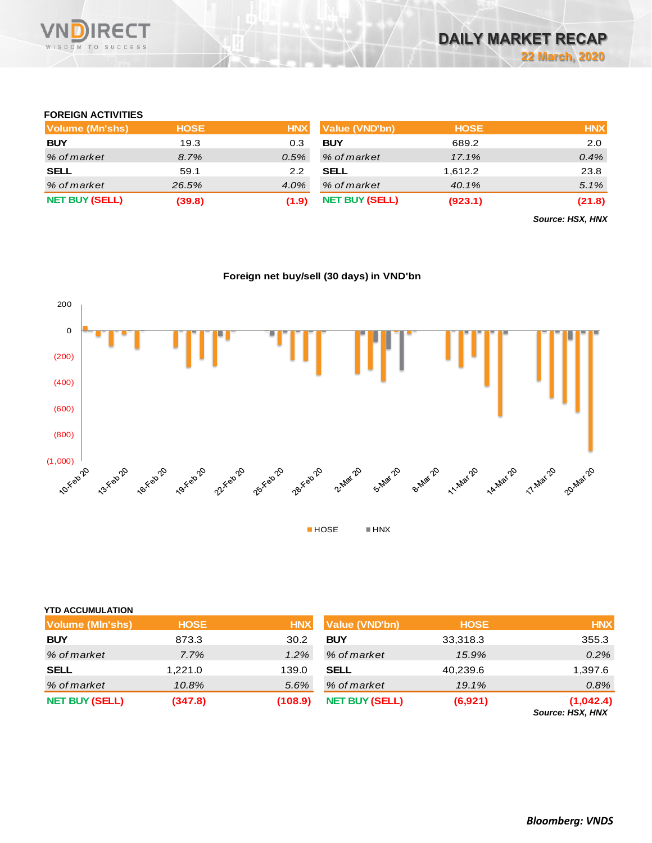

# **FOREIGN ACTIVITIES**

| Volume (Mn'shs)       | <b>HOSE</b> | <b>HNX</b> | Value (VND'bn)        | <b>HOSE</b> | <b>HNX</b> |
|-----------------------|-------------|------------|-----------------------|-------------|------------|
| <b>BUY</b>            | 19.3        | 0.3        | <b>BUY</b>            | 689.2       | 2.0        |
| % of market           | 8.7%        | $0.5\%$    | % of market           | 17.1%       | 0.4%       |
| <b>SELL</b>           | 59.1        | 2.2        | <b>SELL</b>           | 1.612.2     | 23.8       |
| % of market           | 26.5%       | $4.0\%$    | % of market           | 40.1%       | 5.1%       |
| <b>NET BUY (SELL)</b> | (39.8)      | (1.9)      | <b>NET BUY (SELL)</b> | (923.1)     | (21.8)     |

*Source: HSX, HNX*

# **Foreign net buy/sell (30 days) in VND'bn**



### **YTD ACCUMULATION**

| Volume (MIn'shs)      | <b>HOSE</b> | <b>HNX</b> | <b>Value (VND'bn)</b> | <b>HOSE</b> | <b>HNX</b>                   |
|-----------------------|-------------|------------|-----------------------|-------------|------------------------------|
| <b>BUY</b>            | 873.3       | 30.2       | <b>BUY</b>            | 33,318.3    | 355.3                        |
| % of market           | 7.7%        | $1.2\%$    | % of market           | 15.9%       | $0.2\%$                      |
| <b>SELL</b>           | 1,221.0     | 139.0      | <b>SELL</b>           | 40,239.6    | 1,397.6                      |
| % of market           | 10.8%       | 5.6%       | % of market           | 19.1%       | 0.8%                         |
| <b>NET BUY (SELL)</b> | (347.8)     | (108.9)    | <b>NET BUY (SELL)</b> | (6,921)     | (1,042.4)<br>$0.110M$ $110M$ |

*Source: HSX, HNX*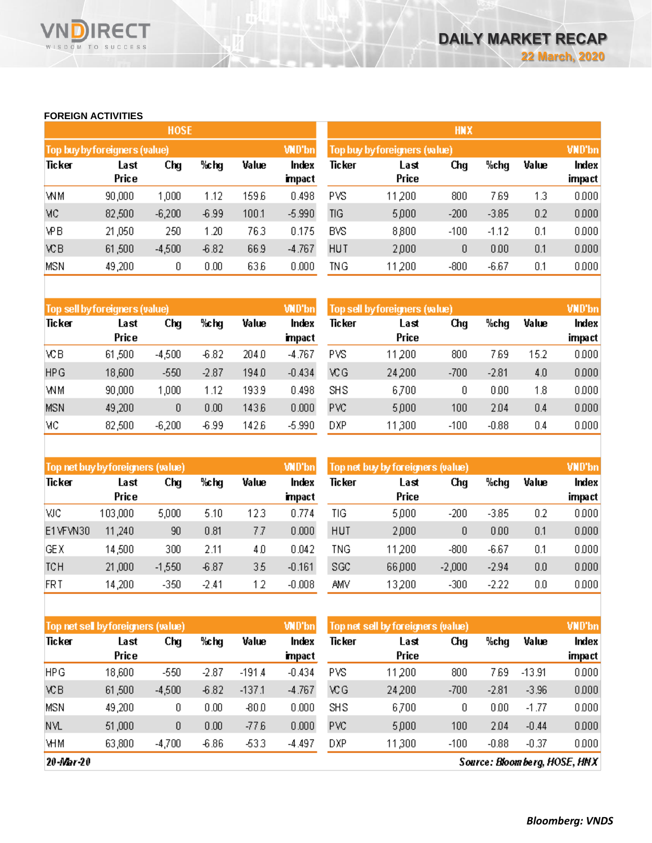## **FOREIGN ACTIVITIES**

WISDOM TO SUCCESS

RECT

|            |                               | <b>HOSE</b> |         |       |                 | <b>HNX</b>                    |               |               |         |       |                 |  |
|------------|-------------------------------|-------------|---------|-------|-----------------|-------------------------------|---------------|---------------|---------|-------|-----------------|--|
|            | Top buy by foreigners (value) |             |         |       | <b>WD'bn</b>    | Top buy by foreigners (value) |               | <b>VND'bn</b> |         |       |                 |  |
| Ticker     | Last<br>Price                 | Chg         | %chg    | Value | Index<br>impact | <b>Ticker</b>                 | Last<br>Price | Chg           | %chg    | Value | Index<br>impact |  |
| WM         | 90,000                        | 1,000       | 1.12    | 1596  | 0.498           | <b>PVS</b>                    | 11,200        | 800           | 7.69    | 1.3   | 0.000           |  |
| МC         | 82,500                        | $-6,200$    | $-6.99$ | 100.1 | $-5.990$        | TIG                           | 5,000         | $-200$        | $-3.85$ | 0.2   | 0.000           |  |
| <b>VPB</b> | 21,050                        | 250         | 1.20    | 763   | 0.175           | <b>BVS</b>                    | 8,800         | $-100$        | $-1.12$ | 0.1   | 0.000           |  |
| <b>VCB</b> | 61,500                        | $-4,500$    | $-6.82$ | 66.9  | $-4.767$        | <b>HUT</b>                    | 2,000         | 0             | 0.00    | 0.1   | 0.000           |  |
| <b>MSN</b> | 49,200                        | 0           | 0.00    | 636   | 0.000           | TNG                           | 11 200        | $-800$        | $-6.67$ | 0.1   | 0.000           |  |

|            | Top sell by foreigners (value) |          |         |       | <b>WD'bn</b>  | Top sell by foreigners (value) |        |        |         |       | <b>VND'bn</b> |
|------------|--------------------------------|----------|---------|-------|---------------|--------------------------------|--------|--------|---------|-------|---------------|
| Ticker     | Last                           | Chg      | %chg    | Value | Index         | Ticker                         | Last   | Chg    | %chg    | Value | Index         |
|            | Price                          |          |         |       | <b>impact</b> |                                | Price  |        |         |       | impact        |
| VСB        | 61,500                         | $-4,500$ | $-6.82$ | 204 O | $-4.767$      | PVS.                           | 11,200 | 800    | 7.69    | 15.2  | 0.000         |
| <b>HPG</b> | 18,600                         | $-550$   | $-2.87$ | 194.0 | $-0.434$      | ۷CG                            | 24 200 | $-700$ | $-2.81$ | 4.0   | 0.000         |
| WM         | 90,000                         | 000      | 1.12    | 193.9 | 0.498         | <b>SHS</b>                     | 6,700  | 0      | 0.00    | 1.8   | 0.000         |
| <b>MSN</b> | 49,200                         | 0        | 0.00    | 143.6 | 0.000         | <b>PVC</b>                     | 5,000  | 100    | 204     | 0.4   | 0.000         |
| MC         | 82,500                         | $-6,200$ | $-6.99$ | 142.6 | $-5.990$      | DXP.                           | 11,300 | $-100$ | $-0.88$ | 0.4   | 0.000         |

|            | Top net buy by foreigners (value) |          |         |       | <b>WD'bn</b>  | Top net buy by foreigners (value) |        | VND'bn   |         |       |        |
|------------|-----------------------------------|----------|---------|-------|---------------|-----------------------------------|--------|----------|---------|-------|--------|
| Ticker     | Last                              | Chg      | %chg    | Value | Index         | Ticker                            | Last   | Chg      | %chg    | Value | Index  |
|            | Price                             |          |         |       | <b>impact</b> |                                   | Price  |          |         |       | impact |
| мc         | 103,000                           | 5,000    | 5.10    | 123   | 0.774         | TIG                               | 5,000  | $-200$   | $-3.85$ | 0.2   | 0.000  |
| E1VFVN30   | 11,240                            | 90       | 0.81    | 77    | 0.000         | <b>HUT</b>                        | 2,000  | 0        | 0.00    | 0.1   | 0.000  |
| <b>GEX</b> | 14,500                            | 300      | 2.11    | 40    | 0.042         | ING                               | 11 200 | $-800$   | $-6.67$ | 0.1   | 0.000  |
| <b>TCH</b> | 21,000                            | $-1,550$ | $-6.87$ | 35    | $-0.161$      | SGC                               | 66,000 | $-2,000$ | $-2.94$ | 0.0   | 0.000  |
| <b>FRT</b> | 14,200                            | $-350$   | $-2.41$ | 12    | $-0.008$      | AMV                               | 13200  | $-300$   | $-2.22$ | 0.0   | 0.000  |

| Top net sell by foreigners (value) |               |          |         |          | <b>WD'bn</b>  | Top net sell by foreigners (value) |               | <b>VND'bn</b> |         |          |        |
|------------------------------------|---------------|----------|---------|----------|---------------|------------------------------------|---------------|---------------|---------|----------|--------|
| Ticker                             | Last<br>Price | Chg      | %chg    | Value    | Index         | Ticker                             | Last<br>Price | Chg           | %chg    | Value    | Index  |
|                                    |               |          |         |          | <b>impact</b> |                                    |               |               |         |          | impact |
| <b>HPG</b>                         | 18,600        | $-550$   | $-2.87$ | $-191.4$ | $-0.434$      | <b>PVS</b>                         | 11 200        | 800           | 7.69    | $-13.91$ | 0.000  |
| <b>VCB</b>                         | 61,500        | $-4,500$ | $-6.82$ | $-137.1$ | $-4.767$      | ۷CG                                | 24,200        | $-700$        | $-2.81$ | $-3.96$  | 0.000  |
| <b>MSN</b>                         | 49,200        | 0        | 0.00    | $-800$   | 0.000         | SHS                                | 6,700         | 0             | 0.00    | $-1.77$  | 0.000  |
| <b>NVL</b>                         | 51,000        | 0        | 0.00    | $-776$   | 0.000         | PVC                                | 5,000         | 100           | 204     | $-0.44$  | 0.000  |
| <b>VHM</b>                         | 63,800        | $-4,700$ | $-6.86$ | -53.3    | $-4.497$      | <b>DXP</b>                         | 11,300        | $-100$        | $-0.88$ | $-0.37$  | 0.000  |

 $20 - Mar - 20$ 

Source: Bloom berg, HOSE, HNX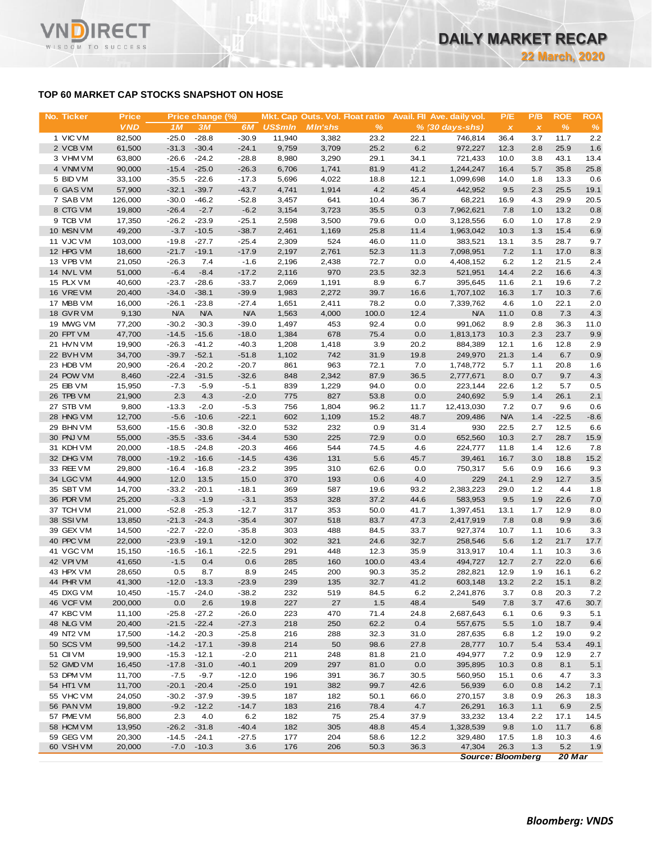# **TOP 60 MARKET CAP STOCKS SNAPSHOT ON HOSE**

**RECT** 

WISDOM TO SUCCESS

**VN** 

| No. Ticker             | <b>Price</b>     |                    | Price change (%)   |                    |                | Mkt. Cap Outs. Vol. Float ratio |              |              | Avail. Fil Ave. daily vol. | P/E                       | P/B          | <b>ROE</b>   | <b>ROA</b>  |
|------------------------|------------------|--------------------|--------------------|--------------------|----------------|---------------------------------|--------------|--------------|----------------------------|---------------------------|--------------|--------------|-------------|
|                        | <b>VND</b>       | 1 <sub>M</sub>     | 3M                 | 6M                 | <b>US\$mln</b> | <b>MIn'shs</b>                  | $\%$         |              | $% (30 days-shs)$          | $\boldsymbol{\mathsf{x}}$ | $\pmb{\chi}$ | $\%$         | %           |
| 1 VIC VM               | 82,500           | $-25.0$            | $-28.8$            | $-30.9$            | 11,940         | 3,382                           | 23.2         | 22.1         | 746,814                    | 36.4                      | 3.7          | 11.7         | 2.2         |
| 2 VCB VM               | 61,500           | $-31.3$            | $-30.4$            | $-24.1$            | 9,759          | 3,709                           | 25.2         | 6.2          | 972,227                    | 12.3                      | 2.8          | 25.9         | 1.6         |
| 3 VHM VM               | 63,800           | $-26.6$            | $-24.2$            | $-28.8$            | 8,980          | 3,290                           | 29.1         | 34.1         | 721,433                    | 10.0                      | 3.8          | 43.1         | 13.4        |
| 4 VNM VM               | 90,000           | $-15.4$            | $-25.0$            | $-26.3$            | 6,706          | 1,741                           | 81.9         | 41.2         | 1,244,247                  | 16.4                      | 5.7          | 35.8         | 25.8        |
| 5 BID VM               | 33,100           | $-35.5$            | $-22.6$            | $-17.3$            | 5,696          | 4,022                           | 18.8         | 12.1         | 1,099,698                  | 14.0                      | 1.8          | 13.3         | 0.6         |
| 6 GAS VM               | 57,900           | $-32.1$            | $-39.7$            | $-43.7$            | 4,741          | 1,914                           | 4.2          | 45.4         | 442,952                    | 9.5                       | 2.3          | 25.5         | 19.1        |
| 7 SAB VM               | 126,000          | $-30.0$            | $-46.2$            | $-52.8$            | 3,457          | 641                             | 10.4         | 36.7         | 68,221                     | 16.9                      | 4.3          | 29.9         | 20.5        |
| 8 CTG VM<br>9 TCB VM   | 19,800<br>17,350 | $-26.4$<br>$-26.2$ | $-2.7$<br>$-23.9$  | $-6.2$<br>$-25.1$  | 3,154<br>2,598 | 3,723<br>3,500                  | 35.5<br>79.6 | 0.3<br>0.0   | 7,962,621<br>3,128,556     | 7.8<br>6.0                | 1.0<br>1.0   | 13.2<br>17.8 | 0.8<br>2.9  |
| 10 MSN VM              | 49,200           | $-3.7$             | $-10.5$            | $-38.7$            | 2,461          | 1,169                           | 25.8         | 11.4         | 1,963,042                  | 10.3                      | 1.3          | 15.4         | 6.9         |
| 11 VJC VM              | 103,000          | $-19.8$            | $-27.7$            | $-25.4$            | 2,309          | 524                             | 46.0         | 11.0         | 383,521                    | 13.1                      | 3.5          | 28.7         | 9.7         |
| 12 HPG VM              | 18,600           | $-21.7$            | $-19.1$            | $-17.9$            | 2,197          | 2,761                           | 52.3         | 11.3         | 7,098,951                  | 7.2                       | 1.1          | 17.0         | 8.3         |
| 13 VPB VM              | 21,050           | $-26.3$            | 7.4                | $-1.6$             | 2,196          | 2,438                           | 72.7         | 0.0          | 4,408,152                  | 6.2                       | 1.2          | 21.5         | 2.4         |
| 14 NVL VM              | 51,000           | $-6.4$             | $-8.4$             | $-17.2$            | 2,116          | 970                             | 23.5         | 32.3         | 521,951                    | 14.4                      | 2.2          | 16.6         | 4.3         |
| 15 PLX VM              | 40,600           | $-23.7$            | $-28.6$            | $-33.7$            | 2,069          | 1,191                           | 8.9          | 6.7          | 395,645                    | 11.6                      | 2.1          | 19.6         | 7.2         |
| 16 VREVM               | 20,400           | $-34.0$            | $-38.1$            | $-39.9$            | 1,983          | 2,272                           | 39.7         | 16.6         | 1,707,102                  | 16.3                      | 1.7          | 10.3         | 7.6         |
| 17 MBB VM              | 16,000           | $-26.1$            | $-23.8$            | $-27.4$            | 1,651          | 2,411                           | 78.2         | 0.0          | 7,339,762                  | 4.6                       | 1.0          | 22.1         | 2.0         |
| 18 GVR VM              | 9,130            | <b>N/A</b>         | <b>N/A</b>         | <b>N/A</b>         | 1,563          | 4,000                           | 100.0        | 12.4         | <b>N/A</b>                 | 11.0                      | 0.8          | 7.3          | 4.3         |
| 19 MWG VM              | 77,200           | $-30.2$            | $-30.3$            | $-39.0$            | 1,497          | 453                             | 92.4         | 0.0          | 991,062                    | 8.9                       | 2.8          | 36.3         | 11.0        |
| 20 FPT VM              | 47,700           | $-14.5$            | $-15.6$            | $-18.0$            | 1,384          | 678                             | 75.4         | 0.0          | 1,813,173                  | 10.3                      | 2.3          | 23.7         | 9.9         |
| 21 HVN VM              | 19,900           | $-26.3$            | $-41.2$            | $-40.3$            | 1,208          | 1,418                           | 3.9          | 20.2         | 884,389                    | 12.1                      | 1.6          | 12.8         | 2.9         |
| 22 BVHVM               | 34,700           | $-39.7$            | $-52.1$            | $-51.8$            | 1,102          | 742                             | 31.9         | 19.8         | 249,970                    | 21.3                      | 1.4          | 6.7          | 0.9         |
| 23 HDB VM              | 20,900           | $-26.4$            | $-20.2$            | $-20.7$            | 861            | 963                             | 72.1         | 7.0          | 1,748,772                  | 5.7                       | 1.1          | 20.8         | 1.6         |
| 24 POW VM              | 8,460            | $-22.4$            | $-31.5$            | $-32.6$            | 848            | 2,342                           | 87.9         | 36.5         | 2,777,671                  | 8.0                       | 0.7          | 9.7          | 4.3         |
| 25 EIB VM              | 15,950           | $-7.3$             | $-5.9$             | $-5.1$             | 839            | 1,229                           | 94.0         | 0.0          | 223,144                    | 22.6                      | 1.2          | 5.7          | 0.5         |
| 26 TPB VM              | 21,900           | 2.3                | 4.3                | $-2.0$             | 775            | 827                             | 53.8         | 0.0          | 240,692                    | 5.9                       | 1.4          | 26.1         | 2.1         |
| 27 STB VM              | 9,800            | $-13.3$            | $-2.0$             | $-5.3$             | 756            | 1,804                           | 96.2         | 11.7         | 12,413,030                 | 7.2                       | 0.7          | 9.6          | 0.6         |
| 28 HNG VM              | 12,700           | $-5.6$             | $-10.6$            | $-22.1$            | 602            | 1,109                           | 15.2         | 48.7         | 209,486                    | <b>N/A</b>                | 1.4          | $-22.5$      | $-8.6$      |
| 29 BHN VM              | 53,600           | $-15.6$            | $-30.8$            | $-32.0$            | 532            | 232                             | 0.9          | 31.4         | 930                        | 22.5                      | 2.7          | 12.5         | 6.6         |
| 30 PNJ VM              | 55,000           | $-35.5$            | $-33.6$            | $-34.4$            | 530<br>466     | 225                             | 72.9         | 0.0          | 652,560                    | 10.3                      | 2.7          | 28.7         | 15.9        |
| 31 KDH VM<br>32 DHG VM | 20,000<br>78,000 | $-18.5$<br>$-19.2$ | $-24.8$<br>$-16.6$ | $-20.3$<br>$-14.5$ | 436            | 544<br>131                      | 74.5<br>5.6  | 4.6<br>45.7  | 224,777<br>39,461          | 11.8<br>16.7              | 1.4<br>3.0   | 12.6<br>18.8 | 7.8         |
| 33 REE VM              | 29,800           | $-16.4$            | $-16.8$            | $-23.2$            | 395            | 310                             | 62.6         | 0.0          | 750,317                    | 5.6                       | 0.9          | 16.6         | 15.2<br>9.3 |
| 34 LGC VM              | 44,900           | 12.0               | 13.5               | 15.0               | 370            | 193                             | 0.6          | 4.0          | 229                        | 24.1                      | 2.9          | 12.7         | 3.5         |
| 35 SBT VM              | 14,700           | $-33.2$            | $-20.1$            | $-18.1$            | 369            | 587                             | 19.6         | 93.2         | 2,383,223                  | 29.0                      | 1.2          | 4.4          | 1.8         |
| 36 PDR VM              | 25,200           | $-3.3$             | $-1.9$             | $-3.1$             | 353            | 328                             | 37.2         | 44.6         | 583,953                    | 9.5                       | 1.9          | 22.6         | 7.0         |
| 37 TCH VM              | 21,000           | $-52.8$            | $-25.3$            | $-12.7$            | 317            | 353                             | 50.0         | 41.7         | 1,397,451                  | 13.1                      | 1.7          | 12.9         | 8.0         |
| 38 SSI VM              | 13,850           | $-21.3$            | $-24.3$            | $-35.4$            | 307            | 518                             | 83.7         | 47.3         | 2,417,919                  | 7.8                       | 0.8          | 9.9          | 3.6         |
| 39 GEX VM              | 14,500           | $-22.7$            | $-22.0$            | $-35.8$            | 303            | 488                             | 84.5         | 33.7         | 927,374                    | 10.7                      | 1.1          | 10.6         | 3.3         |
| 40 PPC VM              | 22,000           | $-23.9$            | $-19.1$            | $-12.0$            | 302            | 321                             | 24.6         | 32.7         | 258,546                    | 5.6                       | 1.2          | 21.7         | 17.7        |
| 41 VGC VM              | 15,150           | $-16.5 - 16.1$     |                    | -22.5              | 291            | 448                             | 12.3         | 35.9         | 313,917                    | 10.4                      | 1.1          | 10.3         | 3.6         |
| 42 VPIVM               | 41,650           | $-1.5$             | 0.4                | 0.6                | 285            | 160                             | 100.0        | 43.4         | 494,727                    | 12.7                      | 2.7          | 22.0         | 6.6         |
| 43 HPX VM              | 28,650           | 0.5                | 8.7                | 8.9                | 245            | 200                             | 90.3         | 35.2         | 282,821                    | 12.9                      | 1.9          | 16.1         | 6.2         |
| 44 PHR VM              | 41,300           | $-12.0$            | $-13.3$            | $-23.9$            | 239            | 135                             | 32.7         | 41.2         | 603,148                    | 13.2                      | 2.2          | 15.1         | 8.2         |
| 45 DXG VM              | 10,450           | $-15.7$            | $-24.0$            | $-38.2$            | 232            | 519                             | 84.5         | 6.2          | 2,241,876                  | 3.7                       | 0.8          | 20.3         | 7.2         |
| 46 VCF VM              | 200,000          | 0.0                | 2.6                | 19.8               | 227            | 27                              | 1.5          | 48.4         | 549                        | 7.8                       | 3.7          | 47.6         | 30.7        |
| 47 KBC VM              | 11,100           | $-25.8$            | $-27.2$            | $-26.0$            | 223            | 470                             | 71.4         | 24.8         | 2,687,643                  | 6.1                       | 0.6          | 9.3          | 5.1         |
| 48 NLG VM              | 20,400           | $-21.5$            | $-22.4$            | $-27.3$            | 218            | 250                             | 62.2         | 0.4          | 557,675                    | 5.5                       | 1.0          | 18.7         | 9.4         |
| 49 NT2 VM              | 17,500           | $-14.2$            | $-20.3$            | $-25.8$            | 216            | 288                             | 32.3         | 31.0         | 287,635                    | 6.8                       | 1.2          | 19.0         | 9.2         |
| 50 SCS VM              | 99,500           | $-14.2$            | $-17.1$            | $-39.8$            | 214            | 50                              | 98.6         | 27.8         | 28,777                     | 10.7                      | 5.4          | 53.4         | 49.1        |
| 51 CII VM              | 19,900           | $-15.3$            | $-12.1$            | $-2.0$             | 211            | 248                             | 81.8         | 21.0         | 494,977                    | 7.2                       | 0.9          | 12.9         | 2.7         |
| 52 GMD VM              | 16,450           | $-17.8$            | $-31.0$            | $-40.1$            | 209            | 297                             | 81.0         | 0.0          | 395,895                    | 10.3                      | 0.8          | 8.1          | 5.1         |
| 53 DPM VM              | 11,700           | $-7.5$             | $-9.7$             | $-12.0$            | 196            | 391                             | 36.7         | 30.5         | 560,950                    | 15.1                      | 0.6          | 4.7          | 3.3         |
| 54 HT1 VM              | 11,700           | $-20.1$            | $-20.4$            | $-25.0$            | 191            | 382                             | 99.7         | 42.6         | 56,939                     | 6.0                       | 0.8          | 14.2         | 7.1         |
| 55 VHC VM              | 24,050           | $-30.2$            | $-37.9$            | $-39.5$            | 187            | 182                             | 50.1         | 66.0         | 270,157                    | 3.8                       | 0.9          | 26.3         | 18.3        |
| 56 PAN VM              | 19,800           | $-9.2$             | $-12.2$            | $-14.7$            | 183            | 216                             | 78.4         | 4.7          | 26,291                     | 16.3                      | 1.1          | 6.9          | 2.5         |
| 57 PME VM              | 56,800           | 2.3                | 4.0                | 6.2                | 182            | 75                              | 25.4         | 37.9         | 33,232                     | 13.4                      | 2.2          | 17.1         | 14.5        |
| 58 HCM VM              | 13,950           | $-26.2$            | $-31.8$            | $-40.4$            | 182            | 305                             | 48.8         | 45.4         | 1,328,539                  | 9.8                       | 1.0          | 11.7         | 6.8         |
| 59 GEG VM<br>60 VSH VM | 20,300<br>20,000 | $-14.5$<br>$-7.0$  | $-24.1$<br>$-10.3$ | $-27.5$<br>3.6     | 177<br>176     | 204<br>206                      | 58.6<br>50.3 | 12.2<br>36.3 | 329,480<br>47,304          | 17.5<br>26.3              | 1.8<br>1.3   | 10.3<br>5.2  | 4.6<br>1.9  |
|                        |                  |                    |                    |                    |                |                                 |              |              |                            |                           |              |              |             |